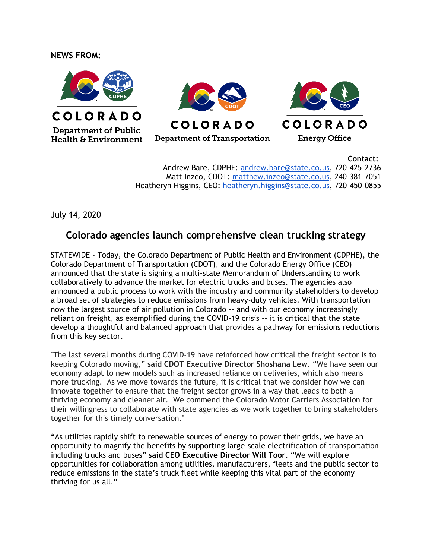## **NEWS FROM:**







COLORADO

**Energy Office** 

## **COLORADO**

Department of Transportation

**Contact:**

Andrew Bare, CDPHE: [andrew.bare@state.co.us,](mailto:andrew.bare@state.co.us) 720-425-2736 Matt Inzeo, CDOT: [matthew.inzeo@state.co.us,](mailto:matthew.inzeo@state.co.us) 240-381-7051 Heatheryn Higgins, CEO: [heatheryn.higgins@state.co.us,](mailto:heatheryn.higgins@state.co.us) 720-450-0855

July 14, 2020

## **Colorado agencies launch comprehensive clean trucking strategy**

STATEWIDE - Today, the Colorado Department of Public Health and Environment (CDPHE), the Colorado Department of Transportation (CDOT), and the Colorado Energy Office (CEO) announced that the state is signing a multi-state Memorandum of Understanding to work collaboratively to advance the market for electric trucks and buses. The agencies also announced a public process to work with the industry and community stakeholders to develop a broad set of strategies to reduce emissions from heavy-duty vehicles. With transportation now the largest source of air pollution in Colorado -- and with our economy increasingly reliant on freight, as exemplified during the COVID-19 crisis -- it is critical that the state develop a thoughtful and balanced approach that provides a pathway for emissions reductions from this key sector.

"The last several months during COVID-19 have reinforced how critical the freight sector is to keeping Colorado moving," **said CDOT Executive Director Shoshana Lew**. "We have seen our economy adapt to new models such as increased reliance on deliveries, which also means more trucking. As we move towards the future, it is critical that we consider how we can innovate together to ensure that the freight sector grows in a way that leads to both a thriving economy and cleaner air. We commend the Colorado Motor Carriers Association for their willingness to collaborate with state agencies as we work together to bring stakeholders together for this timely conversation."

"As utilities rapidly shift to renewable sources of energy to power their grids, we have an opportunity to magnify the benefits by supporting large-scale electrification of transportation including trucks and buses" **said CEO Executive Director Will Toor**. "We will explore opportunities for collaboration among utilities, manufacturers, fleets and the public sector to reduce emissions in the state's truck fleet while keeping this vital part of the economy thriving for us all."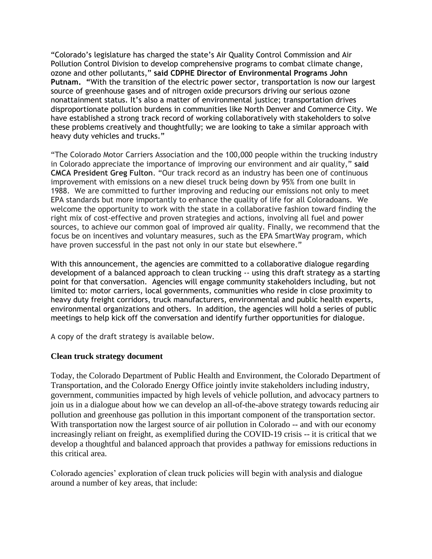"Colorado's legislature has charged the state's Air Quality Control Commission and Air Pollution Control Division to develop comprehensive programs to combat climate change, ozone and other pollutants," **said CDPHE Director of Environmental Programs John Putnam. "**With the transition of the electric power sector, transportation is now our largest source of greenhouse gases and of nitrogen oxide precursors driving our serious ozone nonattainment status. It's also a matter of environmental justice; transportation drives disproportionate pollution burdens in communities like North Denver and Commerce City. We have established a strong track record of working collaboratively with stakeholders to solve these problems creatively and thoughtfully; we are looking to take a similar approach with heavy duty vehicles and trucks."

"The Colorado Motor Carriers Association and the 100,000 people within the trucking industry in Colorado appreciate the importance of improving our environment and air quality," **said CMCA President Greg Fulton**. "Our track record as an industry has been one of continuous improvement with emissions on a new diesel truck being down by 95% from one built in 1988. We are committed to further improving and reducing our emissions not only to meet EPA standards but more importantly to enhance the quality of life for all Coloradoans. We welcome the opportunity to work with the state in a collaborative fashion toward finding the right mix of cost-effective and proven strategies and actions, involving all fuel and power sources, to achieve our common goal of improved air quality. Finally, we recommend that the focus be on incentives and voluntary measures, such as the EPA SmartWay program, which have proven successful in the past not only in our state but elsewhere."

With this announcement, the agencies are committed to a collaborative dialogue regarding development of a balanced approach to clean trucking -- using this draft strategy as a starting point for that conversation. Agencies will engage community stakeholders including, but not limited to: motor carriers, local governments, communities who reside in close proximity to heavy duty freight corridors, truck manufacturers, environmental and public health experts, environmental organizations and others. In addition, the agencies will hold a series of public meetings to help kick off the conversation and identify further opportunities for dialogue.

A copy of the draft strategy is available below.

## **Clean truck strategy document**

Today, the Colorado Department of Public Health and Environment, the Colorado Department of Transportation, and the Colorado Energy Office jointly invite stakeholders including industry, government, communities impacted by high levels of vehicle pollution, and advocacy partners to join us in a dialogue about how we can develop an all-of-the-above strategy towards reducing air pollution and greenhouse gas pollution in this important component of the transportation sector. With transportation now the largest source of air pollution in Colorado -- and with our economy increasingly reliant on freight, as exemplified during the COVID-19 crisis -- it is critical that we develop a thoughtful and balanced approach that provides a pathway for emissions reductions in this critical area.

Colorado agencies' exploration of clean truck policies will begin with analysis and dialogue around a number of key areas, that include: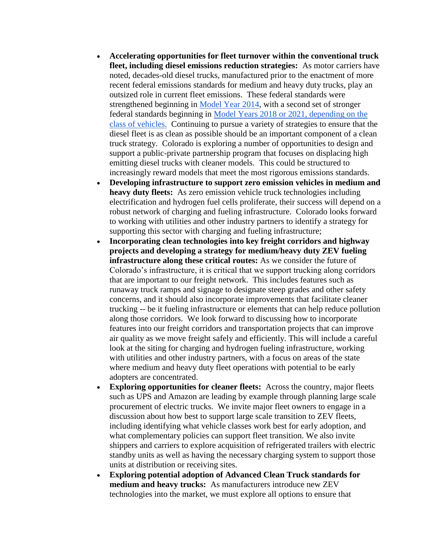- **Accelerating opportunities for fleet turnover within the conventional truck fleet, including diesel emissions reduction strategies:** As motor carriers have noted, decades-old diesel trucks, manufactured prior to the enactment of more recent federal emissions standards for medium and heavy duty trucks, play an outsized role in current fleet emissions. These federal standards were strengthened beginning in [Model Year 2014,](https://urldefense.proofpoint.com/v2/url?u=https-3A__www.nhtsa.gov_laws-2Dregulations_corporate-2Daverage-2Dfuel-2Deconomy&d=DwMFaQ&c=sdnEM9SRGFuMt5z5w3AhsPNahmNicq64TgF1JwNR0cs&r=lHI63qc3V6N6Yi2BWYQ_omaetnmIm9Xd7mPVdWSH-OI&m=hhvDVQAkFeljEOQ4mT3jwN61-xTZSpYz-wokwW8HheQ&s=yqHn8bK_aMIshMw7_G4Wzl4uBUirKSgOy00HuMnsaVI&e=) with a second set of stronger federal standards beginning in [Model Years 2018 or 2021, depending on the](https://urldefense.proofpoint.com/v2/url?u=https-3A__nepis.epa.gov_Exe_ZyPDF.cgi_P100P7NL.PDF-3FDockey-3DP100P7NL.PDF&d=DwMFaQ&c=sdnEM9SRGFuMt5z5w3AhsPNahmNicq64TgF1JwNR0cs&r=lHI63qc3V6N6Yi2BWYQ_omaetnmIm9Xd7mPVdWSH-OI&m=hhvDVQAkFeljEOQ4mT3jwN61-xTZSpYz-wokwW8HheQ&s=q9fTF__pBPySiMVhrITRxVgNU5frT5_cUB0YohDyvqg&e=)  [class of vehicles.](https://urldefense.proofpoint.com/v2/url?u=https-3A__nepis.epa.gov_Exe_ZyPDF.cgi_P100P7NL.PDF-3FDockey-3DP100P7NL.PDF&d=DwMFaQ&c=sdnEM9SRGFuMt5z5w3AhsPNahmNicq64TgF1JwNR0cs&r=lHI63qc3V6N6Yi2BWYQ_omaetnmIm9Xd7mPVdWSH-OI&m=hhvDVQAkFeljEOQ4mT3jwN61-xTZSpYz-wokwW8HheQ&s=q9fTF__pBPySiMVhrITRxVgNU5frT5_cUB0YohDyvqg&e=) Continuing to pursue a variety of strategies to ensure that the diesel fleet is as clean as possible should be an important component of a clean truck strategy. Colorado is exploring a number of opportunities to design and support a public-private partnership program that focuses on displacing high emitting diesel trucks with cleaner models. This could be structured to increasingly reward models that meet the most rigorous emissions standards.
- **Developing infrastructure to support zero emission vehicles in medium and heavy duty fleets:** As zero emission vehicle truck technologies including electrification and hydrogen fuel cells proliferate, their success will depend on a robust network of charging and fueling infrastructure. Colorado looks forward to working with utilities and other industry partners to identify a strategy for supporting this sector with charging and fueling infrastructure;
- **Incorporating clean technologies into key freight corridors and highway projects and developing a strategy for medium/heavy duty ZEV fueling infrastructure along these critical routes:** As we consider the future of Colorado's infrastructure, it is critical that we support trucking along corridors that are important to our freight network. This includes features such as runaway truck ramps and signage to designate steep grades and other safety concerns, and it should also incorporate improvements that facilitate cleaner trucking -- be it fueling infrastructure or elements that can help reduce pollution along those corridors. We look forward to discussing how to incorporate features into our freight corridors and transportation projects that can improve air quality as we move freight safely and efficiently. This will include a careful look at the siting for charging and hydrogen fueling infrastructure, working with utilities and other industry partners, with a focus on areas of the state where medium and heavy duty fleet operations with potential to be early adopters are concentrated.
- **Exploring opportunities for cleaner fleets:** Across the country, major fleets such as UPS and Amazon are leading by example through planning large scale procurement of electric trucks. We invite major fleet owners to engage in a discussion about how best to support large scale transition to ZEV fleets, including identifying what vehicle classes work best for early adoption, and what complementary policies can support fleet transition. We also invite shippers and carriers to explore acquisition of refrigerated trailers with electric standby units as well as having the necessary charging system to support those units at distribution or receiving sites.
- **Exploring potential adoption of Advanced Clean Truck standards for medium and heavy trucks:** As manufacturers introduce new ZEV technologies into the market, we must explore all options to ensure that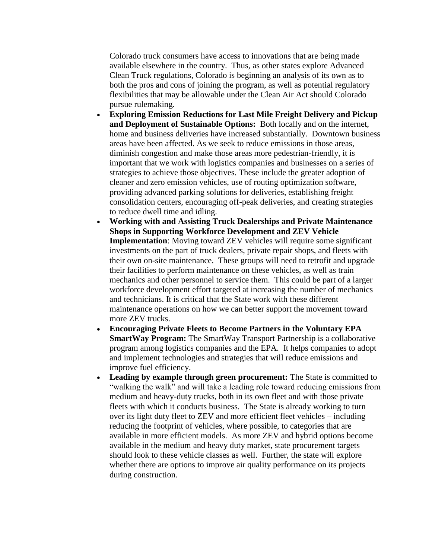Colorado truck consumers have access to innovations that are being made available elsewhere in the country. Thus, as other states explore Advanced Clean Truck regulations, Colorado is beginning an analysis of its own as to both the pros and cons of joining the program, as well as potential regulatory flexibilities that may be allowable under the Clean Air Act should Colorado pursue rulemaking.

- **Exploring Emission Reductions for Last Mile Freight Delivery and Pickup and Deployment of Sustainable Options:** Both locally and on the internet, home and business deliveries have increased substantially. Downtown business areas have been affected. As we seek to reduce emissions in those areas, diminish congestion and make those areas more pedestrian-friendly, it is important that we work with logistics companies and businesses on a series of strategies to achieve those objectives. These include the greater adoption of cleaner and zero emission vehicles, use of routing optimization software, providing advanced parking solutions for deliveries, establishing freight consolidation centers, encouraging off-peak deliveries, and creating strategies to reduce dwell time and idling.
- **Working with and Assisting Truck Dealerships and Private Maintenance Shops in Supporting Workforce Development and ZEV Vehicle Implementation**: Moving toward ZEV vehicles will require some significant investments on the part of truck dealers, private repair shops, and fleets with their own on-site maintenance. These groups will need to retrofit and upgrade their facilities to perform maintenance on these vehicles, as well as train mechanics and other personnel to service them. This could be part of a larger workforce development effort targeted at increasing the number of mechanics and technicians. It is critical that the State work with these different maintenance operations on how we can better support the movement toward more ZEV trucks.
- **Encouraging Private Fleets to Become Partners in the Voluntary EPA SmartWay Program:** The SmartWay Transport Partnership is a collaborative program among logistics companies and the EPA. It helps companies to adopt and implement technologies and strategies that will reduce emissions and improve fuel efficiency.
- **Leading by example through green procurement:** The State is committed to "walking the walk" and will take a leading role toward reducing emissions from medium and heavy-duty trucks, both in its own fleet and with those private fleets with which it conducts business. The State is already working to turn over its light duty fleet to ZEV and more efficient fleet vehicles – including reducing the footprint of vehicles, where possible, to categories that are available in more efficient models. As more ZEV and hybrid options become available in the medium and heavy duty market, state procurement targets should look to these vehicle classes as well. Further, the state will explore whether there are options to improve air quality performance on its projects during construction.